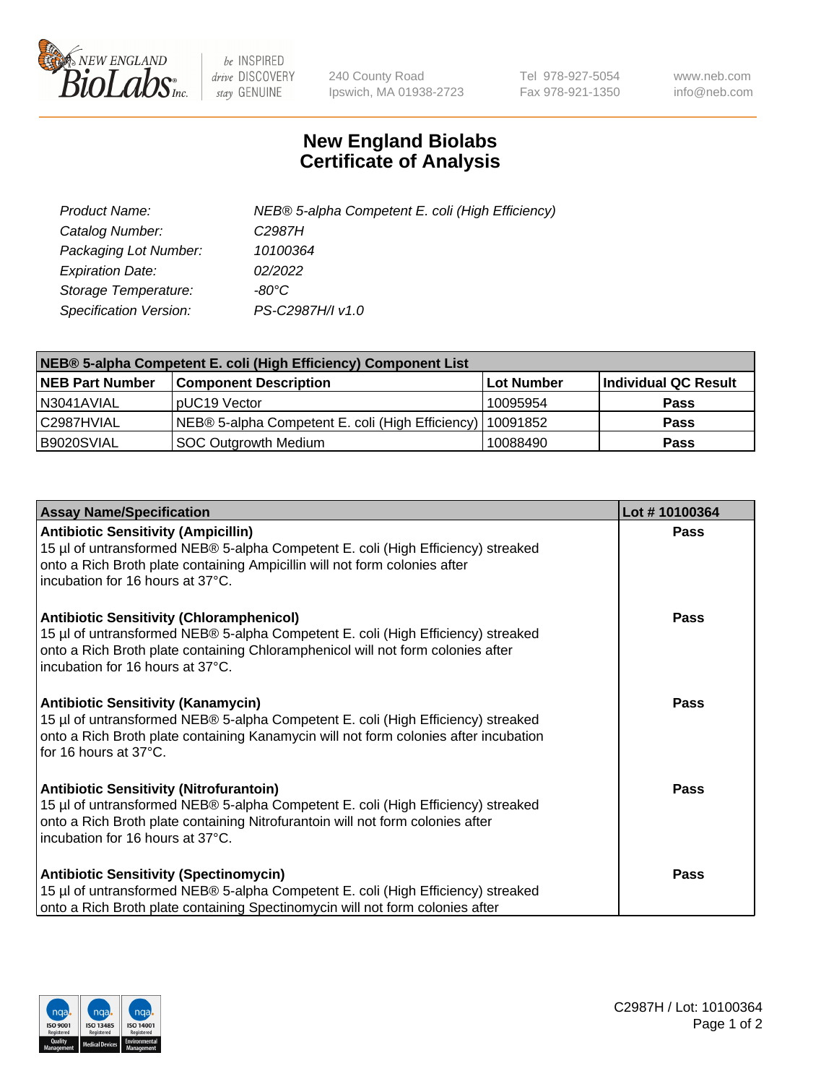

 $be$  INSPIRED drive DISCOVERY stay GENUINE

240 County Road Ipswich, MA 01938-2723 Tel 978-927-5054 Fax 978-921-1350 www.neb.com info@neb.com

## **New England Biolabs Certificate of Analysis**

| Product Name:           | NEB® 5-alpha Competent E. coli (High Efficiency) |
|-------------------------|--------------------------------------------------|
| Catalog Number:         | C <sub>2987</sub> H                              |
| Packaging Lot Number:   | 10100364                                         |
| <b>Expiration Date:</b> | 02/2022                                          |
| Storage Temperature:    | -80°C.                                           |
| Specification Version:  | PS-C2987H/I v1.0                                 |

| NEB® 5-alpha Competent E. coli (High Efficiency) Component List |                                                  |            |                      |  |
|-----------------------------------------------------------------|--------------------------------------------------|------------|----------------------|--|
| <b>NEB Part Number</b>                                          | <b>Component Description</b>                     | Lot Number | Individual QC Result |  |
| N3041AVIAL                                                      | pUC19 Vector                                     | 10095954   | <b>Pass</b>          |  |
| C2987HVIAL                                                      | NEB® 5-alpha Competent E. coli (High Efficiency) | 10091852   | <b>Pass</b>          |  |
| B9020SVIAL                                                      | <b>SOC Outgrowth Medium</b>                      | 10088490   | <b>Pass</b>          |  |

| <b>Assay Name/Specification</b>                                                                                                                                                                                                                            | Lot #10100364 |
|------------------------------------------------------------------------------------------------------------------------------------------------------------------------------------------------------------------------------------------------------------|---------------|
| <b>Antibiotic Sensitivity (Ampicillin)</b><br>15 µl of untransformed NEB® 5-alpha Competent E. coli (High Efficiency) streaked<br>onto a Rich Broth plate containing Ampicillin will not form colonies after<br>incubation for 16 hours at 37°C.           | Pass          |
| <b>Antibiotic Sensitivity (Chloramphenicol)</b><br>15 µl of untransformed NEB® 5-alpha Competent E. coli (High Efficiency) streaked<br>onto a Rich Broth plate containing Chloramphenicol will not form colonies after<br>incubation for 16 hours at 37°C. | Pass          |
| <b>Antibiotic Sensitivity (Kanamycin)</b><br>15 µl of untransformed NEB® 5-alpha Competent E. coli (High Efficiency) streaked<br>onto a Rich Broth plate containing Kanamycin will not form colonies after incubation<br>for 16 hours at 37°C.             | Pass          |
| <b>Antibiotic Sensitivity (Nitrofurantoin)</b><br>15 µl of untransformed NEB® 5-alpha Competent E. coli (High Efficiency) streaked<br>onto a Rich Broth plate containing Nitrofurantoin will not form colonies after<br>incubation for 16 hours at 37°C.   | <b>Pass</b>   |
| <b>Antibiotic Sensitivity (Spectinomycin)</b><br>15 µl of untransformed NEB® 5-alpha Competent E. coli (High Efficiency) streaked<br>onto a Rich Broth plate containing Spectinomycin will not form colonies after                                         | Pass          |